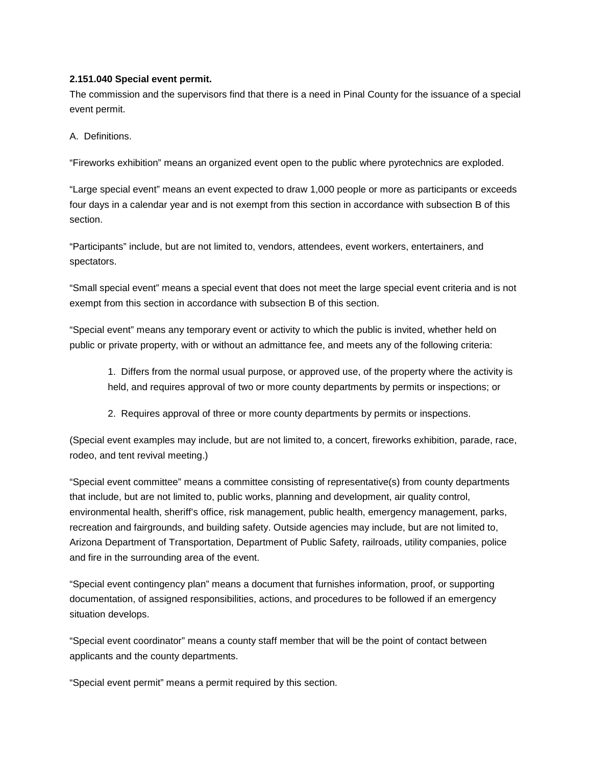## **2.151.040 Special event permit.**

The commission and the supervisors find that there is a need in Pinal County for the issuance of a special event permit.

A. Definitions.

"Fireworks exhibition" means an organized event open to the public where pyrotechnics are exploded.

"Large special event" means an event expected to draw 1,000 people or more as participants or exceeds four days in a calendar year and is not exempt from this section in accordance with subsection B of this section.

"Participants" include, but are not limited to, vendors, attendees, event workers, entertainers, and spectators.

"Small special event" means a special event that does not meet the large special event criteria and is not exempt from this section in accordance with subsection B of this section.

"Special event" means any temporary event or activity to which the public is invited, whether held on public or private property, with or without an admittance fee, and meets any of the following criteria:

1. Differs from the normal usual purpose, or approved use, of the property where the activity is held, and requires approval of two or more county departments by permits or inspections; or

2. Requires approval of three or more county departments by permits or inspections.

(Special event examples may include, but are not limited to, a concert, fireworks exhibition, parade, race, rodeo, and tent revival meeting.)

"Special event committee" means a committee consisting of representative(s) from county departments that include, but are not limited to, public works, planning and development, air quality control, environmental health, sheriff's office, risk management, public health, emergency management, parks, recreation and fairgrounds, and building safety. Outside agencies may include, but are not limited to, Arizona Department of Transportation, Department of Public Safety, railroads, utility companies, police and fire in the surrounding area of the event.

"Special event contingency plan" means a document that furnishes information, proof, or supporting documentation, of assigned responsibilities, actions, and procedures to be followed if an emergency situation develops.

"Special event coordinator" means a county staff member that will be the point of contact between applicants and the county departments.

"Special event permit" means a permit required by this section.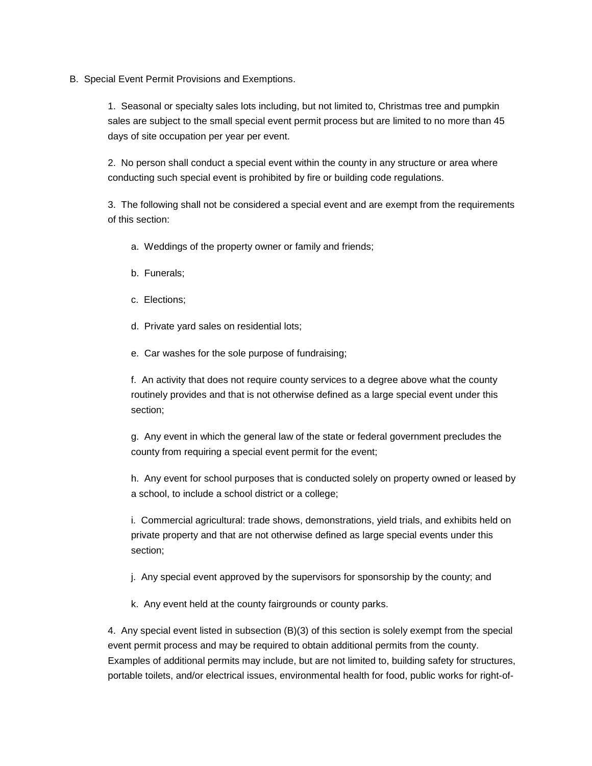B. Special Event Permit Provisions and Exemptions.

1. Seasonal or specialty sales lots including, but not limited to, Christmas tree and pumpkin sales are subject to the small special event permit process but are limited to no more than 45 days of site occupation per year per event.

2. No person shall conduct a special event within the county in any structure or area where conducting such special event is prohibited by fire or building code regulations.

3. The following shall not be considered a special event and are exempt from the requirements of this section:

- a. Weddings of the property owner or family and friends;
- b. Funerals;
- c. Elections;
- d. Private yard sales on residential lots;
- e. Car washes for the sole purpose of fundraising;

f. An activity that does not require county services to a degree above what the county routinely provides and that is not otherwise defined as a large special event under this section;

g. Any event in which the general law of the state or federal government precludes the county from requiring a special event permit for the event;

h. Any event for school purposes that is conducted solely on property owned or leased by a school, to include a school district or a college;

i. Commercial agricultural: trade shows, demonstrations, yield trials, and exhibits held on private property and that are not otherwise defined as large special events under this section;

- j. Any special event approved by the supervisors for sponsorship by the county; and
- k. Any event held at the county fairgrounds or county parks.

4. Any special event listed in subsection (B)(3) of this section is solely exempt from the special event permit process and may be required to obtain additional permits from the county. Examples of additional permits may include, but are not limited to, building safety for structures, portable toilets, and/or electrical issues, environmental health for food, public works for right-of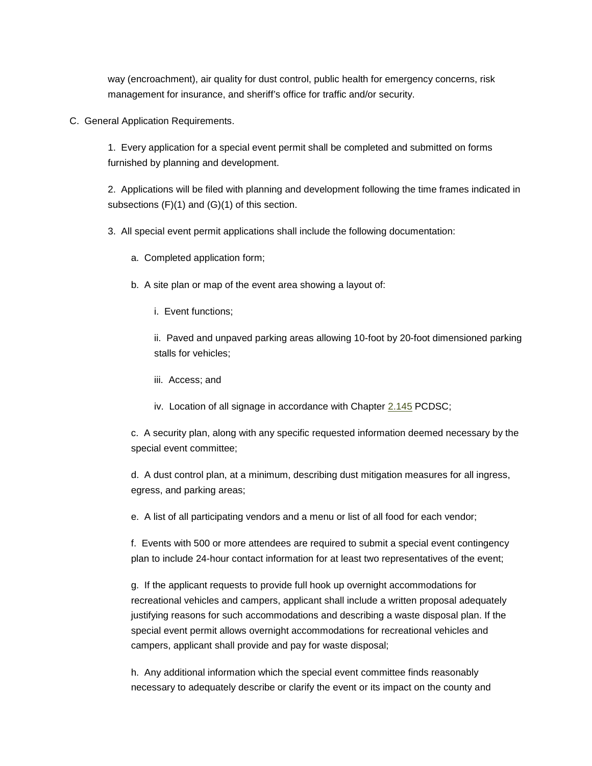way (encroachment), air quality for dust control, public health for emergency concerns, risk management for insurance, and sheriff's office for traffic and/or security.

C. General Application Requirements.

1. Every application for a special event permit shall be completed and submitted on forms furnished by planning and development.

2. Applications will be filed with planning and development following the time frames indicated in subsections (F)(1) and (G)(1) of this section.

3. All special event permit applications shall include the following documentation:

a. Completed application form;

b. A site plan or map of the event area showing a layout of:

i. Event functions;

ii. Paved and unpaved parking areas allowing 10-foot by 20-foot dimensioned parking stalls for vehicles;

- iii. Access; and
- iv. Location of all signage in accordance with Chapter [2.145](http://www.codepublishing.com/AZ/pinalcounty/html/PinalCounty02/PinalCounty02145.html#2.145) PCDSC;

c. A security plan, along with any specific requested information deemed necessary by the special event committee;

d. A dust control plan, at a minimum, describing dust mitigation measures for all ingress, egress, and parking areas;

e. A list of all participating vendors and a menu or list of all food for each vendor;

f. Events with 500 or more attendees are required to submit a special event contingency plan to include 24-hour contact information for at least two representatives of the event;

g. If the applicant requests to provide full hook up overnight accommodations for recreational vehicles and campers, applicant shall include a written proposal adequately justifying reasons for such accommodations and describing a waste disposal plan. If the special event permit allows overnight accommodations for recreational vehicles and campers, applicant shall provide and pay for waste disposal;

h. Any additional information which the special event committee finds reasonably necessary to adequately describe or clarify the event or its impact on the county and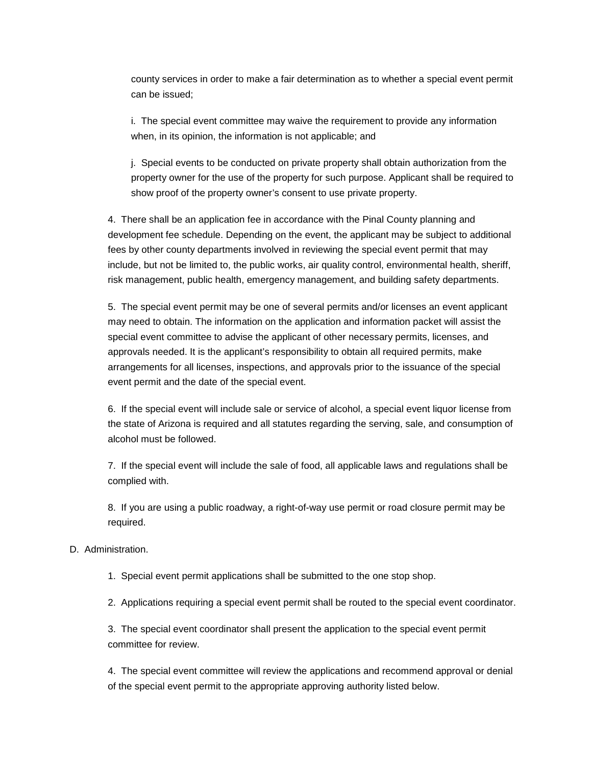county services in order to make a fair determination as to whether a special event permit can be issued;

i. The special event committee may waive the requirement to provide any information when, in its opinion, the information is not applicable; and

j. Special events to be conducted on private property shall obtain authorization from the property owner for the use of the property for such purpose. Applicant shall be required to show proof of the property owner's consent to use private property.

4. There shall be an application fee in accordance with the Pinal County planning and development fee schedule. Depending on the event, the applicant may be subject to additional fees by other county departments involved in reviewing the special event permit that may include, but not be limited to, the public works, air quality control, environmental health, sheriff, risk management, public health, emergency management, and building safety departments.

5. The special event permit may be one of several permits and/or licenses an event applicant may need to obtain. The information on the application and information packet will assist the special event committee to advise the applicant of other necessary permits, licenses, and approvals needed. It is the applicant's responsibility to obtain all required permits, make arrangements for all licenses, inspections, and approvals prior to the issuance of the special event permit and the date of the special event.

6. If the special event will include sale or service of alcohol, a special event liquor license from the state of Arizona is required and all statutes regarding the serving, sale, and consumption of alcohol must be followed.

7. If the special event will include the sale of food, all applicable laws and regulations shall be complied with.

8. If you are using a public roadway, a right-of-way use permit or road closure permit may be required.

## D. Administration.

1. Special event permit applications shall be submitted to the one stop shop.

2. Applications requiring a special event permit shall be routed to the special event coordinator.

3. The special event coordinator shall present the application to the special event permit committee for review.

4. The special event committee will review the applications and recommend approval or denial of the special event permit to the appropriate approving authority listed below.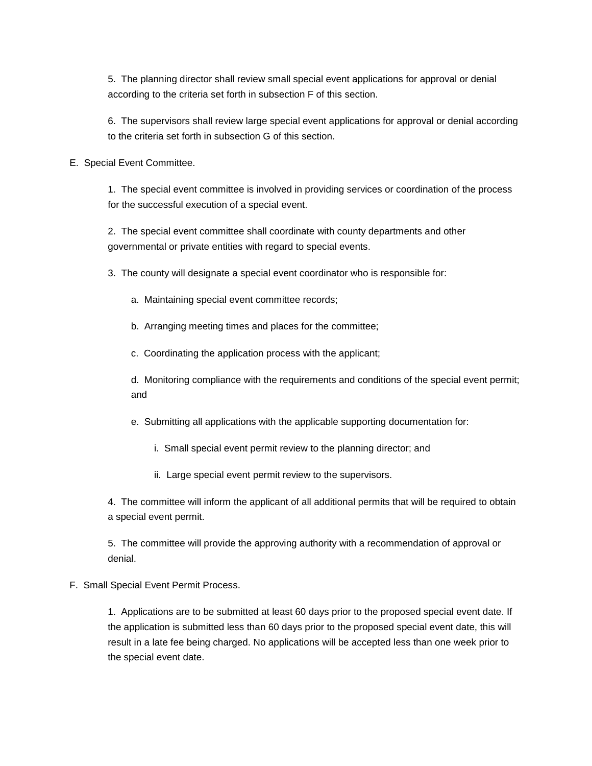5. The planning director shall review small special event applications for approval or denial according to the criteria set forth in subsection F of this section.

6. The supervisors shall review large special event applications for approval or denial according to the criteria set forth in subsection G of this section.

E. Special Event Committee.

1. The special event committee is involved in providing services or coordination of the process for the successful execution of a special event.

2. The special event committee shall coordinate with county departments and other governmental or private entities with regard to special events.

3. The county will designate a special event coordinator who is responsible for:

- a. Maintaining special event committee records;
- b. Arranging meeting times and places for the committee;
- c. Coordinating the application process with the applicant;

d. Monitoring compliance with the requirements and conditions of the special event permit; and

e. Submitting all applications with the applicable supporting documentation for:

- i. Small special event permit review to the planning director; and
- ii. Large special event permit review to the supervisors.

4. The committee will inform the applicant of all additional permits that will be required to obtain a special event permit.

5. The committee will provide the approving authority with a recommendation of approval or denial.

F. Small Special Event Permit Process.

1. Applications are to be submitted at least 60 days prior to the proposed special event date. If the application is submitted less than 60 days prior to the proposed special event date, this will result in a late fee being charged. No applications will be accepted less than one week prior to the special event date.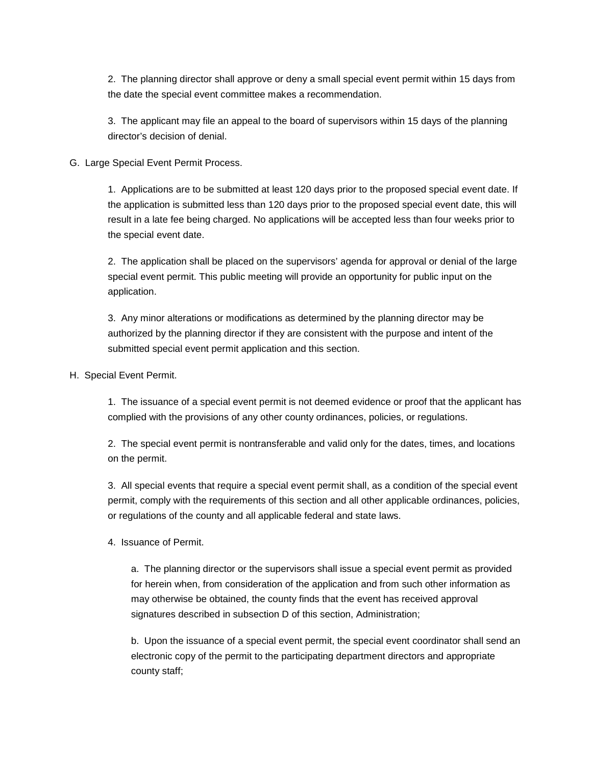2. The planning director shall approve or deny a small special event permit within 15 days from the date the special event committee makes a recommendation.

3. The applicant may file an appeal to the board of supervisors within 15 days of the planning director's decision of denial.

## G. Large Special Event Permit Process.

1. Applications are to be submitted at least 120 days prior to the proposed special event date. If the application is submitted less than 120 days prior to the proposed special event date, this will result in a late fee being charged. No applications will be accepted less than four weeks prior to the special event date.

2. The application shall be placed on the supervisors' agenda for approval or denial of the large special event permit. This public meeting will provide an opportunity for public input on the application.

3. Any minor alterations or modifications as determined by the planning director may be authorized by the planning director if they are consistent with the purpose and intent of the submitted special event permit application and this section.

H. Special Event Permit.

1. The issuance of a special event permit is not deemed evidence or proof that the applicant has complied with the provisions of any other county ordinances, policies, or regulations.

2. The special event permit is nontransferable and valid only for the dates, times, and locations on the permit.

3. All special events that require a special event permit shall, as a condition of the special event permit, comply with the requirements of this section and all other applicable ordinances, policies, or regulations of the county and all applicable federal and state laws.

4. Issuance of Permit.

a. The planning director or the supervisors shall issue a special event permit as provided for herein when, from consideration of the application and from such other information as may otherwise be obtained, the county finds that the event has received approval signatures described in subsection D of this section, Administration;

b. Upon the issuance of a special event permit, the special event coordinator shall send an electronic copy of the permit to the participating department directors and appropriate county staff;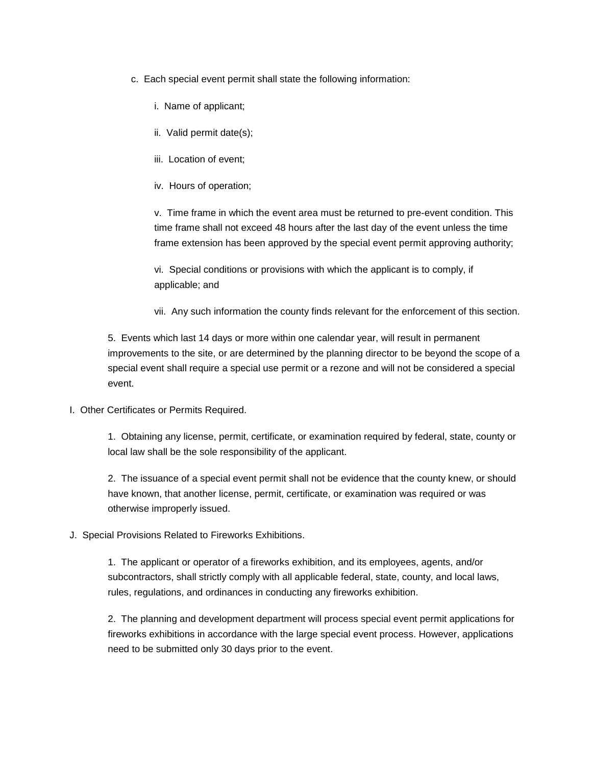- c. Each special event permit shall state the following information:
	- i. Name of applicant;
	- ii. Valid permit date(s);
	- iii. Location of event;
	- iv. Hours of operation;

v. Time frame in which the event area must be returned to pre-event condition. This time frame shall not exceed 48 hours after the last day of the event unless the time frame extension has been approved by the special event permit approving authority;

vi. Special conditions or provisions with which the applicant is to comply, if applicable; and

vii. Any such information the county finds relevant for the enforcement of this section.

5. Events which last 14 days or more within one calendar year, will result in permanent improvements to the site, or are determined by the planning director to be beyond the scope of a special event shall require a special use permit or a rezone and will not be considered a special event.

I. Other Certificates or Permits Required.

1. Obtaining any license, permit, certificate, or examination required by federal, state, county or local law shall be the sole responsibility of the applicant.

2. The issuance of a special event permit shall not be evidence that the county knew, or should have known, that another license, permit, certificate, or examination was required or was otherwise improperly issued.

J. Special Provisions Related to Fireworks Exhibitions.

1. The applicant or operator of a fireworks exhibition, and its employees, agents, and/or subcontractors, shall strictly comply with all applicable federal, state, county, and local laws, rules, regulations, and ordinances in conducting any fireworks exhibition.

2. The planning and development department will process special event permit applications for fireworks exhibitions in accordance with the large special event process. However, applications need to be submitted only 30 days prior to the event.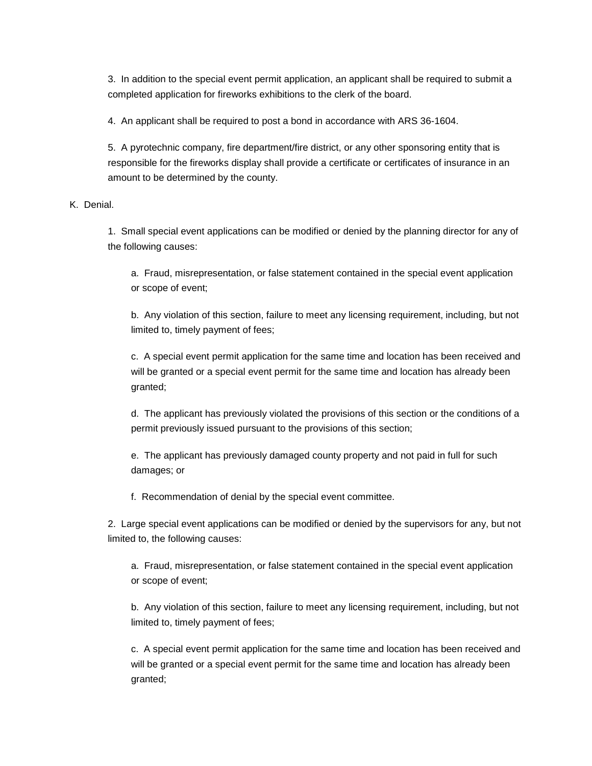3. In addition to the special event permit application, an applicant shall be required to submit a completed application for fireworks exhibitions to the clerk of the board.

4. An applicant shall be required to post a bond in accordance with ARS 36-1604.

5. A pyrotechnic company, fire department/fire district, or any other sponsoring entity that is responsible for the fireworks display shall provide a certificate or certificates of insurance in an amount to be determined by the county.

K. Denial.

1. Small special event applications can be modified or denied by the planning director for any of the following causes:

a. Fraud, misrepresentation, or false statement contained in the special event application or scope of event;

b. Any violation of this section, failure to meet any licensing requirement, including, but not limited to, timely payment of fees;

c. A special event permit application for the same time and location has been received and will be granted or a special event permit for the same time and location has already been granted;

d. The applicant has previously violated the provisions of this section or the conditions of a permit previously issued pursuant to the provisions of this section;

e. The applicant has previously damaged county property and not paid in full for such damages; or

f. Recommendation of denial by the special event committee.

2. Large special event applications can be modified or denied by the supervisors for any, but not limited to, the following causes:

a. Fraud, misrepresentation, or false statement contained in the special event application or scope of event;

b. Any violation of this section, failure to meet any licensing requirement, including, but not limited to, timely payment of fees;

c. A special event permit application for the same time and location has been received and will be granted or a special event permit for the same time and location has already been granted;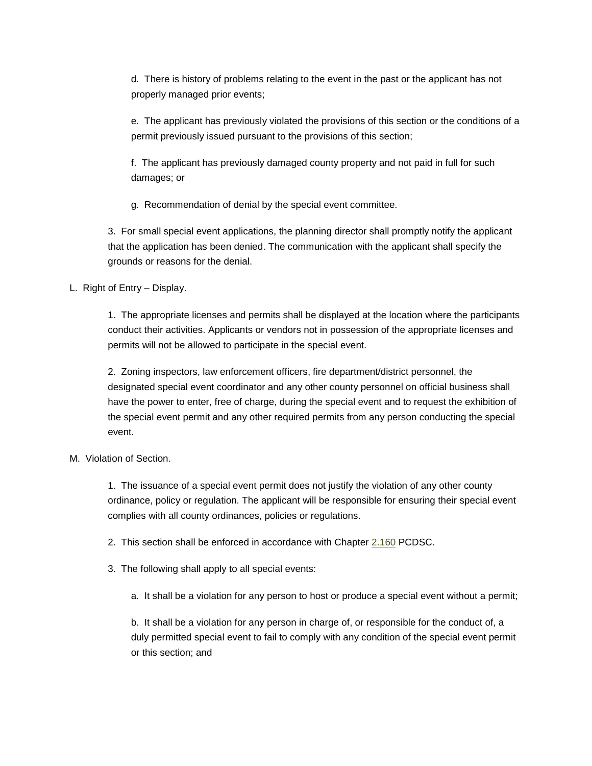d. There is history of problems relating to the event in the past or the applicant has not properly managed prior events;

e. The applicant has previously violated the provisions of this section or the conditions of a permit previously issued pursuant to the provisions of this section;

f. The applicant has previously damaged county property and not paid in full for such damages; or

g. Recommendation of denial by the special event committee.

3. For small special event applications, the planning director shall promptly notify the applicant that the application has been denied. The communication with the applicant shall specify the grounds or reasons for the denial.

L. Right of Entry – Display.

1. The appropriate licenses and permits shall be displayed at the location where the participants conduct their activities. Applicants or vendors not in possession of the appropriate licenses and permits will not be allowed to participate in the special event.

2. Zoning inspectors, law enforcement officers, fire department/district personnel, the designated special event coordinator and any other county personnel on official business shall have the power to enter, free of charge, during the special event and to request the exhibition of the special event permit and any other required permits from any person conducting the special event.

M. Violation of Section.

1. The issuance of a special event permit does not justify the violation of any other county ordinance, policy or regulation. The applicant will be responsible for ensuring their special event complies with all county ordinances, policies or regulations.

2. This section shall be enforced in accordance with Chapter [2.160](http://www.codepublishing.com/AZ/pinalcounty/html/PinalCounty02/PinalCounty02160.html#2.160) PCDSC.

3. The following shall apply to all special events:

a. It shall be a violation for any person to host or produce a special event without a permit;

b. It shall be a violation for any person in charge of, or responsible for the conduct of, a duly permitted special event to fail to comply with any condition of the special event permit or this section; and